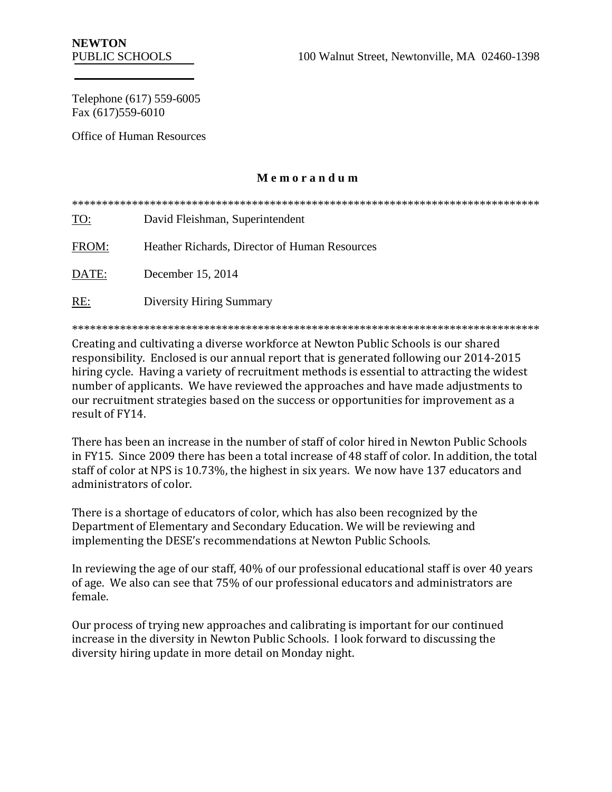Telephone (617) 559-6005 Fax (617)559-6010

Office of Human Resources

### **M e m o r a n d u m**

\*\*\*\*\*\*\*\*\*\*\*\*\*\*\*\*\*\*\*\*\*\*\*\*\*\*\*\*\*\*\*\*\*\*\*\*\*\*\*\*\*\*\*\*\*\*\*\*\*\*\*\*\*\*\*\*\*\*\*\*\*\*\*\*\*\*\*\*\*\*\*\*\*\*\*\*\*\* TO: David Fleishman, Superintendent FROM: Heather Richards, Director of Human Resources DATE: December 15, 2014 RE: Diversity Hiring Summary

\*\*\*\*\*\*\*\*\*\*\*\*\*\*\*\*\*\*\*\*\*\*\*\*\*\*\*\*\*\*\*\*\*\*\*\*\*\*\*\*\*\*\*\*\*\*\*\*\*\*\*\*\*\*\*\*\*\*\*\*\*\*\*\*\*\*\*\*\*\*\*\*\*\*\*\*\*\*

Creating and cultivating a diverse workforce at Newton Public Schools is our shared responsibility. Enclosed is our annual report that is generated following our 2014-2015 hiring cycle. Having a variety of recruitment methods is essential to attracting the widest number of applicants. We have reviewed the approaches and have made adjustments to our recruitment strategies based on the success or opportunities for improvement as a result of FY14.

There has been an increase in the number of staff of color hired in Newton Public Schools in FY15. Since 2009 there has been a total increase of 48 staff of color. In addition, the total staff of color at NPS is 10.73%, the highest in six years. We now have 137 educators and administrators of color.

There is a shortage of educators of color, which has also been recognized by the Department of Elementary and Secondary Education. We will be reviewing and implementing the DESE's recommendations at Newton Public Schools.

In reviewing the age of our staff, 40% of our professional educational staff is over 40 years of age. We also can see that 75% of our professional educators and administrators are female.

Our process of trying new approaches and calibrating is important for our continued increase in the diversity in Newton Public Schools. I look forward to discussing the diversity hiring update in more detail on Monday night.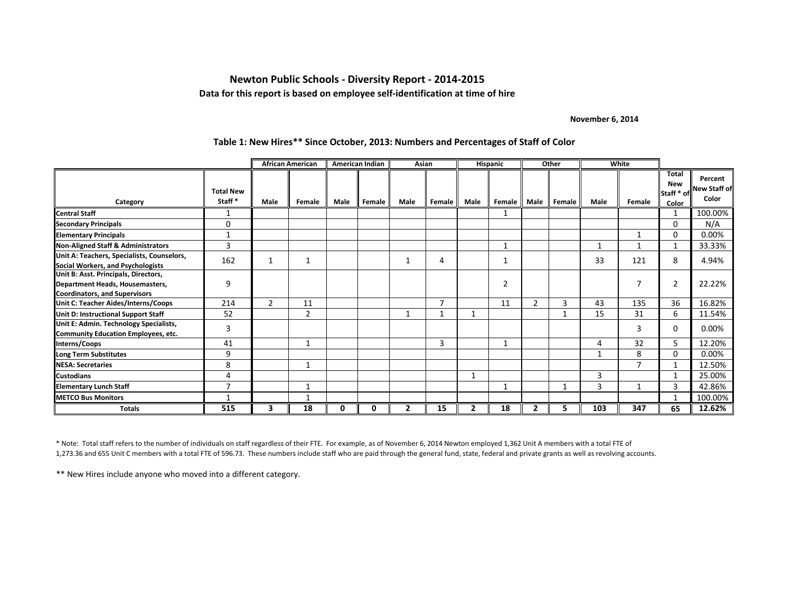#### **Newton Public Schools - Diversity Report - 2014-2015 Data for this report is based on employee self-identification at time of hire**

#### **November 6, 2014**

|                                                                                                                 |                            |                | <b>African American</b> |      | American Indian | Asian          |                |                | <b>Hispanic</b> |                | Other  | White |                |                                                   |                                         |
|-----------------------------------------------------------------------------------------------------------------|----------------------------|----------------|-------------------------|------|-----------------|----------------|----------------|----------------|-----------------|----------------|--------|-------|----------------|---------------------------------------------------|-----------------------------------------|
| Category                                                                                                        | <b>Total New</b><br>Staff* | Male           | Female                  | Male | Female          | Male           | Female         | Male           | Female          | Male           | Female | Male  | Female         | <b>Total</b><br><b>New</b><br>Staff * of<br>Color | Percent<br><b>New Staff of</b><br>Color |
| <b>Central Staff</b>                                                                                            |                            |                |                         |      |                 |                |                |                |                 |                |        |       |                |                                                   | 100.00%                                 |
| Secondary Principals                                                                                            | $\Omega$                   |                |                         |      |                 |                |                |                |                 |                |        |       |                | $\Omega$                                          | N/A                                     |
| <b>Elementary Principals</b>                                                                                    |                            |                |                         |      |                 |                |                |                |                 |                |        |       | 1              | $\Omega$                                          | 0.00%                                   |
| <b>Non-Aligned Staff &amp; Administrators</b>                                                                   | 3                          |                |                         |      |                 |                |                |                | 1               |                |        | 1     | $\mathbf{1}$   | 1                                                 | 33.33%                                  |
| Unit A: Teachers, Specialists, Counselors,<br>Social Workers, and Psychologists                                 | 162                        | $\mathbf{1}$   |                         |      |                 |                | 4              |                | $\mathbf{1}$    |                |        | 33    | 121            | 8                                                 | 4.94%                                   |
| Unit B: Asst. Principals, Directors,<br>Department Heads, Housemasters,<br><b>Coordinators, and Supervisors</b> | 9                          |                |                         |      |                 |                |                |                | $\overline{2}$  |                |        |       | 7              | $\overline{2}$                                    | 22.22%                                  |
| Unit C: Teacher Aides/Interns/Coops                                                                             | 214                        | $\overline{2}$ | 11                      |      |                 |                | $\overline{7}$ |                | 11              | $\overline{2}$ | 3      | 43    | 135            | 36                                                | 16.82%                                  |
| Unit D: Instructional Support Staff                                                                             | 52                         |                | $\overline{2}$          |      |                 |                |                |                |                 |                |        | 15    | 31             | 6                                                 | 11.54%                                  |
| Unit E: Admin. Technology Specialists,<br><b>Community Education Employees, etc.</b>                            | 3                          |                |                         |      |                 |                |                |                |                 |                |        |       | 3              | 0                                                 | 0.00%                                   |
| Interns/Coops                                                                                                   | 41                         |                | 1                       |      |                 |                | 3              |                | $\mathbf{1}$    |                |        | 4     | 32             | 5                                                 | 12.20%                                  |
| <b>Long Term Substitutes</b>                                                                                    | 9                          |                |                         |      |                 |                |                |                |                 |                |        |       | 8              | $\Omega$                                          | 0.00%                                   |
| <b>NESA: Secretaries</b>                                                                                        | 8                          |                | 1                       |      |                 |                |                |                |                 |                |        |       | $\overline{7}$ | -1                                                | 12.50%                                  |
| Custodians                                                                                                      | 4                          |                |                         |      |                 |                |                | 1              |                 |                |        | 3     |                | $\mathbf{1}$                                      | 25.00%                                  |
| Elementary Lunch Staff                                                                                          | ⇁                          |                |                         |      |                 |                |                |                |                 |                |        | 3     | -1             | 3                                                 | 42.86%                                  |
| <b>METCO Bus Monitors</b>                                                                                       |                            |                |                         |      |                 |                |                |                |                 |                |        |       |                |                                                   | 100.00%                                 |
| <b>Totals</b>                                                                                                   | 515                        | 3              | 18                      | 0    | 0               | $\overline{2}$ | 15             | $\overline{2}$ | 18              | 7              | 5      | 103   | 347            | 65                                                | 12.62%                                  |

#### **Table 1: New Hires\*\* Since October, 2013: Numbers and Percentages of Staff of Color**

\* Note: Total staff refers to the number of individuals on staff regardless of their FTE. For example, as of November 6, 2014 Newton employed 1,362 Unit A members with a total FTE of 1,273.36 and 655 Unit C members with a total FTE of 596.73. These numbers include staff who are paid through the general fund, state, federal and private grants as well as revolving accounts.

\*\* New Hires include anyone who moved into a different category.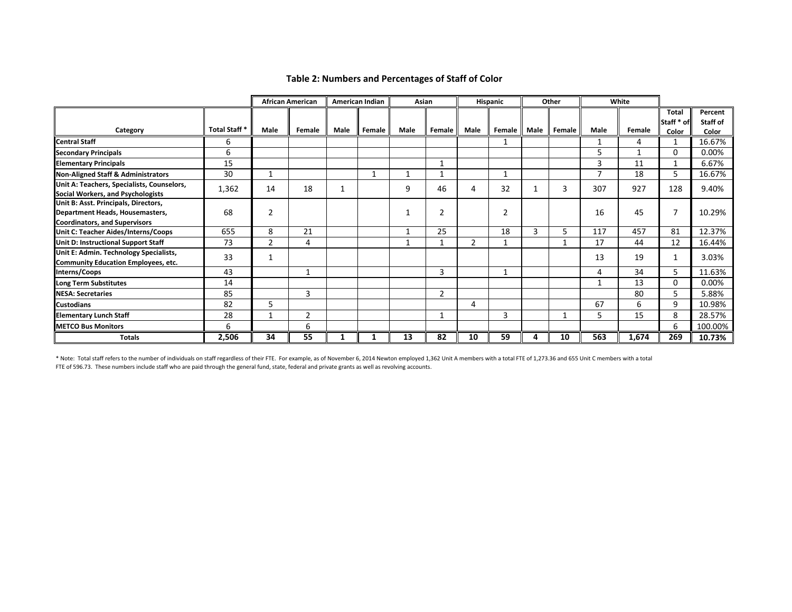#### **Table 2: Numbers and Percentages of Staff of Color**

|                                               |              |                | <b>African American</b> |      | <b>American Indian</b> | Asian |                |                | Hispanic       |      | Other        |                | White  |              |          |
|-----------------------------------------------|--------------|----------------|-------------------------|------|------------------------|-------|----------------|----------------|----------------|------|--------------|----------------|--------|--------------|----------|
|                                               |              |                |                         |      |                        |       |                |                |                |      |              |                |        | <b>Total</b> | Percent  |
|                                               |              |                |                         |      |                        |       |                |                |                |      |              |                |        | Staff * of   | Staff of |
| Category                                      | Total Staff* | Male           | Female                  | Male | Female                 | Male  | Female         | Male           | Female         | Male | Female       | Male           | Female | Color        | Color    |
| <b>Central Staff</b>                          | 6            |                |                         |      |                        |       |                |                |                |      |              |                | 4      | 1            | 16.67%   |
| <b>Secondary Principals</b>                   | 6            |                |                         |      |                        |       |                |                |                |      |              | 5              | 1      | 0            | 0.00%    |
| <b>Elementary Principals</b>                  | 15           |                |                         |      |                        |       |                |                |                |      |              | 3              | 11     | 1            | 6.67%    |
| <b>Non-Aligned Staff &amp; Administrators</b> | 30           |                |                         |      |                        |       | $\mathbf{A}$   |                | $\mathbf{1}$   |      |              | $\overline{ }$ | 18     | 5            | 16.67%   |
| Unit A: Teachers, Specialists, Counselors,    | 1,362        | 14             | 18                      |      |                        | 9     | 46             | 4              | 32             |      | 3            | 307            | 927    | 128          | 9.40%    |
| Social Workers, and Psychologists             |              |                |                         |      |                        |       |                |                |                |      |              |                |        |              |          |
| Unit B: Asst. Principals, Directors,          |              |                |                         |      |                        |       |                |                |                |      |              |                |        |              |          |
| Department Heads, Housemasters,               | 68           | 2              |                         |      |                        |       | $\overline{2}$ |                | $\overline{2}$ |      |              | 16             | 45     | 7            | 10.29%   |
| <b>Coordinators, and Supervisors</b>          |              |                |                         |      |                        |       |                |                |                |      |              |                |        |              |          |
| Unit C: Teacher Aides/Interns/Coops           | 655          | 8              | 21                      |      |                        |       | 25             |                | 18             | 3    | 5            | 117            | 457    | 81           | 12.37%   |
| Unit D: Instructional Support Staff           | 73           | $\overline{2}$ | 4                       |      |                        |       |                | $\overline{2}$ | 1              |      | $\mathbf{1}$ | 17             | 44     | 12           | 16.44%   |
| Unit E: Admin. Technology Specialists,        | 33           |                |                         |      |                        |       |                |                |                |      |              | 13             | 19     | 1            | 3.03%    |
| <b>Community Education Employees, etc.</b>    |              |                |                         |      |                        |       |                |                |                |      |              |                |        |              |          |
| Interns/Coops                                 | 43           |                |                         |      |                        |       | 3              |                |                |      |              | 4              | 34     | 5            | 11.63%   |
| <b>Long Term Substitutes</b>                  | 14           |                |                         |      |                        |       |                |                |                |      |              |                | 13     | 0            | 0.00%    |
| <b>NESA: Secretaries</b>                      | 85           |                | 3                       |      |                        |       | $\overline{2}$ |                |                |      |              |                | 80     | 5            | 5.88%    |
| <b>Custodians</b>                             | 82           | 5              |                         |      |                        |       |                | 4              |                |      |              | 67             | 6      | 9            | 10.98%   |
| <b>Elementary Lunch Staff</b>                 | 28           |                | 2                       |      |                        |       |                |                | 3              |      |              | 5.             | 15     | 8            | 28.57%   |
| <b>METCO Bus Monitors</b>                     | 6            |                | 6                       |      |                        |       |                |                |                |      |              |                |        | 6            | 100.00%  |
| <b>Totals</b>                                 | 2,506        | 34             | 55                      |      |                        | 13    | 82             | 10             | 59             | 4    | 10           | 563            | 1,674  | 269          | 10.73%   |

\* Note: Total staff refers to the number of individuals on staff regardless of their FTE. For example, as of November 6, 2014 Newton employed 1,362 Unit A members with a total FTE of 1,273.36 and 655 Unit C members with a FTE of 596.73. These numbers include staff who are paid through the general fund, state, federal and private grants as well as revolving accounts.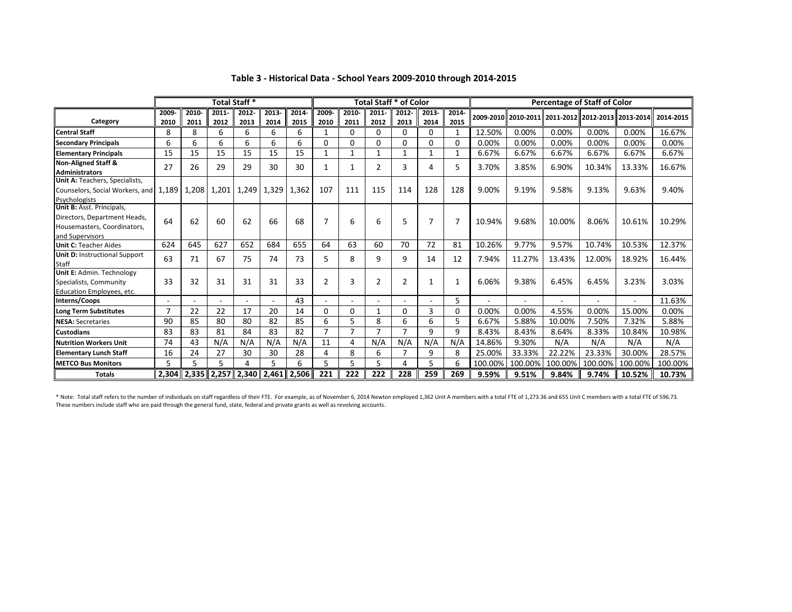|                                                                                                             | <b>Total Staff *</b> |                         |               |               |               |               |                |               | <b>Total Staff * of Color</b> |                |               |                |         |         | <b>Percentage of Staff of Color</b>               |         |                |           |
|-------------------------------------------------------------------------------------------------------------|----------------------|-------------------------|---------------|---------------|---------------|---------------|----------------|---------------|-------------------------------|----------------|---------------|----------------|---------|---------|---------------------------------------------------|---------|----------------|-----------|
| Category                                                                                                    | 2009-<br>2010        | 2010-<br>2011           | 2011-<br>2012 | 2012-<br>2013 | 2013-<br>2014 | 2014-<br>2015 | 2009-<br>2010  | 2010-<br>2011 | 2011-<br>2012                 | 2012-<br>2013  | 2013-<br>2014 | 2014-<br>2015  |         |         | 2009-2010 2010-2011 2011-2012 2012-2013 2013-2014 |         |                | 2014-2015 |
| <b>Central Staff</b>                                                                                        | 8                    | 8                       | 6             | 6             | 6             | 6             |                | 0             | 0                             | 0              | 0             | 1              | 12.50%  | 0.00%   | 0.00%                                             | 0.00%   | 0.00%          | 16.67%    |
| <b>Secondary Principals</b>                                                                                 | 6                    | 6                       | 6             | 6             | 6             | 6             | $\Omega$       | 0             | 0                             | 0              | 0             | $\Omega$       | 0.00%   | 0.00%   | 0.00%                                             | 0.00%   | 0.00%          | 0.00%     |
| <b>Elementary Principals</b>                                                                                | 15                   | 15                      | 15            | 15            | 15            | 15            |                | 1             | 1                             | 1              | 1             | $\mathbf{1}$   | 6.67%   | 6.67%   | 6.67%                                             | 6.67%   | 6.67%          | 6.67%     |
| <b>Non-Aligned Staff &amp;</b><br><b>Administrators</b>                                                     | 27                   | 26                      | 29            | 29            | 30            | 30            |                |               | $\overline{2}$                | 3              | 4             | 5              | 3.70%   | 3.85%   | 6.90%                                             | 10.34%  | 13.33%         | 16.67%    |
| Unit A: Teachers, Specialists,<br>Counselors, Social Workers, and<br>Psychologists                          | 1.189                | 1.208                   | 1,201         | 1,249         | 1,329         | 1,362         | 107            | 111           | 115                           | 114            | 128           | 128            | 9.00%   | 9.19%   | 9.58%                                             | 9.13%   | 9.63%          | 9.40%     |
| Unit B: Asst. Principals,<br>Directors, Department Heads,<br>Housemasters, Coordinators,<br>and Supervisors | 64                   | 62                      | 60            | 62            | 66            | 68            |                | 6             | 6                             | 5              | 7             | $\overline{7}$ | 10.94%  | 9.68%   | 10.00%                                            | 8.06%   | 10.61%         | 10.29%    |
| <b>Unit C: Teacher Aides</b>                                                                                | 624                  | 645                     | 627           | 652           | 684           | 655           | 64             | 63            | 60                            | 70             | 72            | 81             | 10.26%  | 9.77%   | 9.57%                                             | 10.74%  | 10.53%         | 12.37%    |
| <b>Unit D: Instructional Support</b><br><b>Staff</b>                                                        | 63                   | 71                      | 67            | 75            | 74            | 73            | 5.             | 8             | 9                             | 9              | 14            | 12             | 7.94%   | 11.27%  | 13.43%                                            | 12.00%  | 18.92%         | 16.44%    |
| Unit E: Admin. Technology<br>Specialists, Community<br>Education Employees, etc.                            | 33                   | 32                      | 31            | 31            | 31            | 33            | $\overline{2}$ | 3             | $\overline{2}$                | $\overline{2}$ |               | $\mathbf{1}$   | 6.06%   | 9.38%   | 6.45%                                             | 6.45%   | 3.23%          | 3.03%     |
| Interns/Coops                                                                                               |                      |                         |               |               |               | 43            |                |               |                               |                | $\sim$        | 5              |         |         |                                                   |         | $\overline{a}$ | 11.63%    |
| <b>Long Term Substitutes</b>                                                                                | 7                    | 22                      | 22            | 17            | 20            | 14            | $\Omega$       | 0             | 1                             | 0              | 3             | $\Omega$       | 0.00%   | 0.00%   | 4.55%                                             | 0.00%   | 15.00%         | 0.00%     |
| <b>NESA: Secretaries</b>                                                                                    | 90                   | 85                      | 80            | 80            | 82            | 85            | 6              | 5             | 8                             | 6              | 6             | 5              | 6.67%   | 5.88%   | 10.00%                                            | 7.50%   | 7.32%          | 5.88%     |
| <b>Custodians</b>                                                                                           | 83                   | 83                      | 81            | 84            | 83            | 82            | 7              | ⇁             | 7                             | $\overline{ }$ | 9             | 9              | 8.43%   | 8.43%   | 8.64%                                             | 8.33%   | 10.84%         | 10.98%    |
| <b>Nutrition Workers Unit</b>                                                                               | 74                   | 43                      | N/A           | N/A           | N/A           | N/A           | 11             | 4             | N/A                           | N/A            | N/A           | N/A            | 14.86%  | 9.30%   | N/A                                               | N/A     | N/A            | N/A       |
| <b>Elementary Lunch Staff</b>                                                                               | 16                   | 24                      | 27            | 30            | 30            | 28            | 4              | 8             | 6                             | 7              | 9             | 8              | 25.00%  | 33.33%  | 22.22%                                            | 23.33%  | 30.00%         | 28.57%    |
| <b>METCO Bus Monitors</b>                                                                                   | 5                    | 5                       | 5             | 4             | 5             | 6             | 5              | 5             | 5                             | 4              | 5             | 6              | 100.00% | 100.00% | 100.00%                                           | 100.00% | 100.00%        | 100.00%   |
| <b>Totals</b>                                                                                               |                      | $2,304$   2,335   2,257 |               | 2,340         | 2,461         | 2,506         | 221            | 222           | 222                           | 228            | 259           | 269            | 9.59%   | 9.51%   | 9.84%                                             | 9.74%   | 10.52%         | 10.73%    |

#### **Table 3 - Historical Data - School Years 2009-2010 through 2014-2015**

\* Note: Total staff refers to the number of individuals on staff regardless of their FTE. For example, as of November 6, 2014 Newton employed 1,362 Unit A members with a total FTE of 1,273.36 and 655 Unit C members with a These numbers include staff who are paid through the general fund, state, federal and private grants as well as revolving accounts.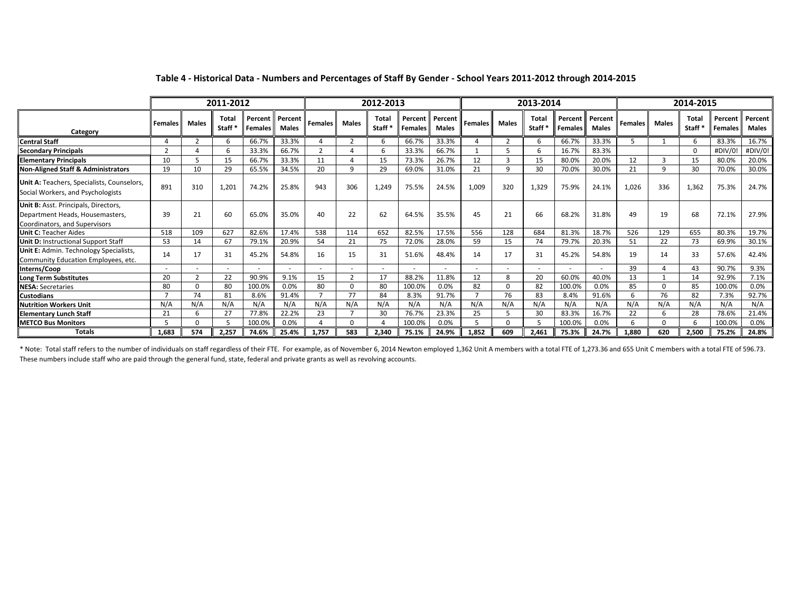|                                                                                                          | 2011-2012      |              |                             |                           |                         | 2012-2013      |                |                        |                           |                         |                | 2013-2014      |                                    |                    | 2014-2015               |                |              |               |                           |                         |
|----------------------------------------------------------------------------------------------------------|----------------|--------------|-----------------------------|---------------------------|-------------------------|----------------|----------------|------------------------|---------------------------|-------------------------|----------------|----------------|------------------------------------|--------------------|-------------------------|----------------|--------------|---------------|---------------------------|-------------------------|
| Category                                                                                                 | <b>Females</b> | <b>Males</b> | Total<br>Staff <sup>*</sup> | Percent<br><b>Females</b> | Percent<br><b>Males</b> | <b>Females</b> | <b>Males</b>   | <b>Total</b><br>Staff* | Percent<br><b>Females</b> | Percent<br><b>Males</b> | <b>Females</b> | <b>Males</b>   | <b>Total</b><br>Staff <sup>'</sup> | Percent<br>Females | Percent<br><b>Males</b> | <b>Females</b> | <b>Males</b> | Tota<br>Staff | Percent<br><b>Females</b> | Percent<br><b>Males</b> |
| <b>Central Staff</b>                                                                                     |                |              | 6                           | 66.7%                     | 33.3%                   |                | $\overline{2}$ | 6                      | 66.7%                     | 33.3%                   | Δ              | $\overline{2}$ | 6                                  | 66.7%              | 33.3%                   |                |              | 6             | 83.3%                     | 16.7%                   |
| l Secondarv Principals                                                                                   | $\mathbf{r}$   |              |                             | 33.3%                     | 66.7%                   | $\mathbf{r}$   |                | 6                      | 33.3%                     | 66.7%                   |                | .5             | 6                                  | 16.7%              | 83.3%                   |                |              |               | #DIV/0                    | #DIV/0!                 |
| <b>Elementary Principals</b>                                                                             | 10             |              | 15                          | 66.7%                     | 33.3%                   | 11             |                | 15                     | 73.3%                     | 26.7%                   | 12             |                | 15                                 | 80.0%              | 20.0%                   | 12             |              | 15            | 80.0%                     | 20.0%                   |
| Non-Aligned Staff & Administrators                                                                       | 19             | 10           | 29                          | 65.5%                     | 34.5%                   | 20             | q              | 29                     | 69.0%                     | 31.0%                   | 21             | 9              | 30                                 | 70.0%              | 30.0%                   | 21             | q            | 30            | 70.0%                     | 30.0%                   |
| Unit A: Teachers, Specialists, Counselors,<br>Social Workers, and Psychologists                          | 891            | 310          | 1.201                       | 74.2%                     | 25.8%                   | 943            | 306            | 1,249                  | 75.5%                     | 24.5%                   | 1,009          | 320            | 1,329                              | 75.9%              | 24.1%                   | 1.026          | 336          | 1.362         | 75.3%                     | 24.7%                   |
| Unit B: Asst. Principals, Directors,<br>Department Heads, Housemasters,<br>Coordinators, and Supervisors | 39             | 21           | 60                          | 65.0%                     | 35.0%                   | 40             | 22             | 62                     | 64.5%                     | 35.5%                   | 45             | 21             | 66                                 | 68.2%              | 31.8%                   | 49             | 19           | 68            | 72.1%                     | 27.9%                   |
| <b>Unit C: Teacher Aides</b>                                                                             | 518            | 109          | 627                         | 82.6%                     | 17.4%                   | 538            | 114            | 652                    | 82.5%                     | 17.5%                   | 556            | 128            | 684                                | 81.3%              | 18.7%                   | 526            | 129          | 655           | 80.3%                     | 19.7%                   |
| <b>Unit D: Instructional Support Staff</b>                                                               | 53             | 14           | 67                          | 79.1%                     | 20.9%                   | 54             | 21             | 75                     | 72.0%                     | 28.0%                   | 59             | 15             | 74                                 | 79.7%              | 20.3%                   | 51             | 22           | 73            | 69.9%                     | 30.1%                   |
| Unit E: Admin. Technology Specialists,<br>Community Education Employees, etc.                            | 14             | 17           | 31                          | 45.2%                     | 54.8%                   | 16             | 15             | 31                     | 51.6%                     | 48.4%                   | 14             | 17             | 31                                 | 45.2%              | 54.8%                   | 19             | 14           | 33            | 57.6%                     | 42.4%                   |
| Interns/Coop                                                                                             |                |              |                             |                           |                         | $\sim$         | $\sim$         | $\sim$                 | $\overline{\phantom{a}}$  | $\sim$                  |                | ٠              |                                    |                    |                         | 39             |              | 43            | 90.7%                     | 9.3%                    |
| Long Term Substitutes                                                                                    | 20             | ຳ            | 22                          | 90.9%                     | 9.1%                    | 15             | $\mathbf{r}$   | 17                     | 88.2%                     | 11.8%                   | 12             | 8              | 20                                 | 60.0%              | 40.0%                   | 13             |              | 14            | 92.9%                     | 7.1%                    |
| <b>NESA: Secretaries</b>                                                                                 | 80             | O            | 80                          | 100.0%                    | 0.0%                    | 80             |                | 80                     | 100.0%                    | 0.0%                    | 82             | $\Omega$       | 82                                 | 100.0%             | 0.0%                    | 85             |              | 85            | 100.0%                    | 0.0%                    |
| <b>Custodians</b>                                                                                        |                | 74           | 81                          | 8.6%                      | 91.4%                   |                | 77             | 84                     | 8.3%                      | 91.7%                   | $\overline{ }$ | 76             | 83                                 | 8.4%               | 91.6%                   |                | 76           | 82            | 7.3%                      | 92.7%                   |
| <b>Nutrition Workers Unit</b>                                                                            | N/A            | N/A          | N/A                         | N/A                       | N/A                     | N/A            | N/A            | N/A                    | N/A                       | N/A                     | N/A            | N/A            | N/A                                | N/A                | N/A                     | N/A            | N/A          | N/A           | N/A                       | N/A                     |
| <b>Elementary Lunch Staff</b>                                                                            | 21             |              | 27                          | 77.8%                     | 22.2%                   | 23             |                | 30                     | 76.7%                     | 23.3%                   | 25             | .5             | 30                                 | 83.3%              | 16.7%                   | 22             |              | 28            | 78.6%                     | 21.4%                   |
| <b>METCO Bus Monitors</b>                                                                                |                |              |                             | 100.0%                    | 0.0%                    |                |                |                        | 100.0%                    | 0.0%                    |                | $\Omega$       |                                    | 100.0%             | 0.0%                    |                | $\Omega$     |               | 100.0%                    | 0.0%                    |
| <b>Totals</b>                                                                                            | 1,683          | 574          | 2,257                       | 74.6%                     | 25.4%                   | 1.757          | 583            | 2,340                  | 75.1%                     | 24.9%                   | 1,852          | 609            | 2,461                              | 75.3%              | 24.7%                   | 1,880          | 620          | 2.500         | 75.2%                     | 24.8%                   |

#### **Table 4 - Historical Data - Numbers and Percentages of Staff By Gender - School Years 2011-2012 through 2014-2015**

\* Note: Total staff refers to the number of individuals on staff regardless of their FTE. For example, as of November 6, 2014 Newton employed 1,362 Unit A members with a total FTE of 1,273.36 and 655 Unit C members with a These numbers include staff who are paid through the general fund, state, federal and private grants as well as revolving accounts.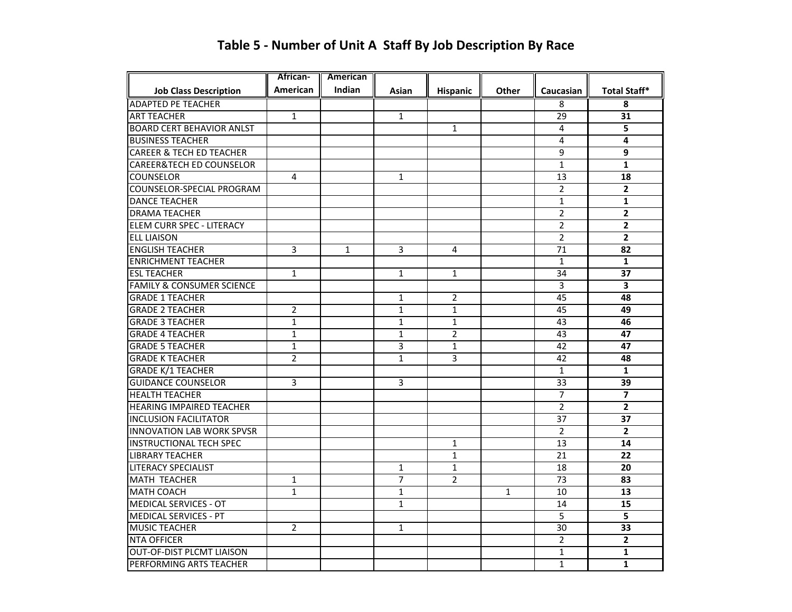|                                      | African-       | American     |                |                |              |                |                     |
|--------------------------------------|----------------|--------------|----------------|----------------|--------------|----------------|---------------------|
| <b>Job Class Description</b>         | American       | Indian       | Asian          | Hispanic       | <b>Other</b> | Caucasian      | <b>Total Staff*</b> |
| <b>ADAPTED PE TEACHER</b>            |                |              |                |                |              | 8              | 8                   |
| <b>ART TEACHER</b>                   | $\mathbf{1}$   |              | $\mathbf{1}$   |                |              | 29             | 31                  |
| <b>BOARD CERT BEHAVIOR ANLST</b>     |                |              |                | $\mathbf{1}$   |              | 4              | 5                   |
| <b>BUSINESS TEACHER</b>              |                |              |                |                |              | 4              | 4                   |
| <b>CAREER &amp; TECH ED TEACHER</b>  |                |              |                |                |              | 9              | 9                   |
| <b>CAREER&amp;TECH ED COUNSELOR</b>  |                |              |                |                |              | $\mathbf{1}$   | $\mathbf{1}$        |
| <b>COUNSELOR</b>                     | 4              |              | $\mathbf{1}$   |                |              | 13             | 18                  |
| COUNSELOR-SPECIAL PROGRAM            |                |              |                |                |              | $\overline{2}$ | $\mathbf{2}$        |
| <b>DANCE TEACHER</b>                 |                |              |                |                |              | $\mathbf{1}$   | $\mathbf{1}$        |
| <b>DRAMA TEACHER</b>                 |                |              |                |                |              | 2              | 2                   |
| <b>ELEM CURR SPEC - LITERACY</b>     |                |              |                |                |              | $\overline{2}$ | $\mathbf{2}$        |
| <b>ELL LIAISON</b>                   |                |              |                |                |              | $\overline{2}$ | $\overline{2}$      |
| <b>ENGLISH TEACHER</b>               | 3              | $\mathbf{1}$ | 3              | 4              |              | 71             | 82                  |
| <b>ENRICHMENT TEACHER</b>            |                |              |                |                |              | $\mathbf{1}$   | $\mathbf{1}$        |
| <b>ESL TEACHER</b>                   | $\mathbf{1}$   |              | $\mathbf{1}$   | $\mathbf{1}$   |              | 34             | 37                  |
| <b>FAMILY &amp; CONSUMER SCIENCE</b> |                |              |                |                |              | 3              | 3                   |
| <b>GRADE 1 TEACHER</b>               |                |              | $\mathbf{1}$   | $\overline{2}$ |              | 45             | 48                  |
| <b>GRADE 2 TEACHER</b>               | $\overline{2}$ |              | $\mathbf{1}$   | $\mathbf{1}$   |              | 45             | 49                  |
| <b>GRADE 3 TEACHER</b>               | $\mathbf{1}$   |              | $\mathbf{1}$   | $\mathbf{1}$   |              | 43             | 46                  |
| <b>GRADE 4 TEACHER</b>               | $\mathbf{1}$   |              | $\mathbf{1}$   | $\overline{2}$ |              | 43             | 47                  |
| <b>GRADE 5 TEACHER</b>               | 1              |              | 3              | 1              |              | 42             | 47                  |
| <b>GRADE K TEACHER</b>               | $\overline{2}$ |              | $\mathbf{1}$   | 3              |              | 42             | 48                  |
| <b>GRADE K/1 TEACHER</b>             |                |              |                |                |              | $\mathbf{1}$   | $\mathbf{1}$        |
| <b>GUIDANCE COUNSELOR</b>            | 3              |              | 3              |                |              | 33             | 39                  |
| <b>HEALTH TEACHER</b>                |                |              |                |                |              | $\overline{7}$ | $\overline{7}$      |
| <b>HEARING IMPAIRED TEACHER</b>      |                |              |                |                |              | $\overline{2}$ | $\overline{2}$      |
| <b>INCLUSION FACILITATOR</b>         |                |              |                |                |              | 37             | 37                  |
| <b>INNOVATION LAB WORK SPVSR</b>     |                |              |                |                |              | $\overline{2}$ | $\overline{2}$      |
| <b>INSTRUCTIONAL TECH SPEC</b>       |                |              |                | 1              |              | 13             | 14                  |
| <b>LIBRARY TEACHER</b>               |                |              |                | $\mathbf{1}$   |              | 21             | 22                  |
| <b>LITERACY SPECIALIST</b>           |                |              | $\mathbf{1}$   | $\mathbf{1}$   |              | 18             | 20                  |
| <b>MATH TEACHER</b>                  | 1              |              | $\overline{7}$ | $\overline{2}$ |              | 73             | 83                  |
| <b>MATH COACH</b>                    | $\mathbf{1}$   |              | $\mathbf{1}$   |                | $\mathbf{1}$ | 10             | 13                  |
| <b>MEDICAL SERVICES - OT</b>         |                |              | $\mathbf 1$    |                |              | 14             | 15                  |
| <b>MEDICAL SERVICES - PT</b>         |                |              |                |                |              | 5              | 5                   |
| <b>MUSIC TEACHER</b>                 | $\overline{2}$ |              | $\mathbf{1}$   |                |              | 30             | 33                  |
| <b>NTA OFFICER</b>                   |                |              |                |                |              | $\overline{2}$ | $\overline{2}$      |
| <b>OUT-OF-DIST PLCMT LIAISON</b>     |                |              |                |                |              | $\mathbf{1}$   | 1                   |
| PERFORMING ARTS TEACHER              |                |              |                |                |              | $\mathbf{1}$   | $\mathbf{1}$        |

## **Table 5 - Number of Unit A Staff By Job Description By Race**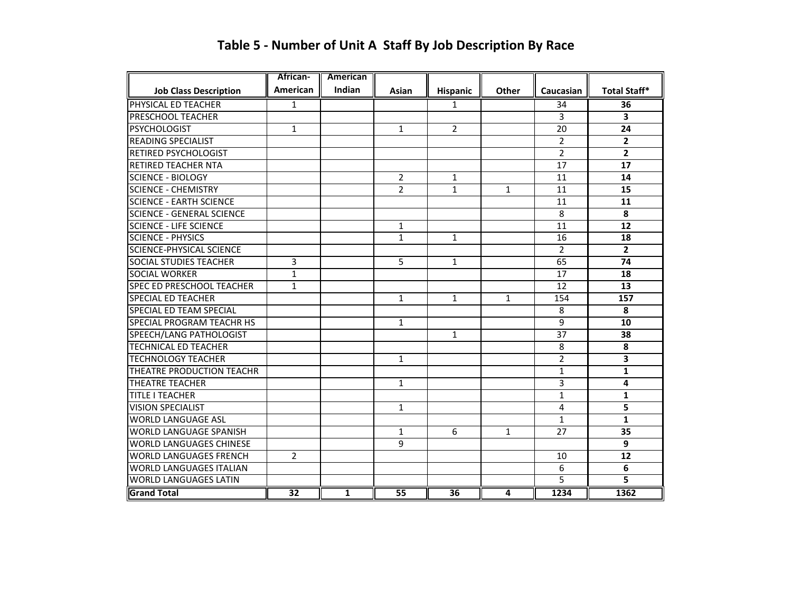|                                  | <b>African-</b> | American       |                 |                 |                |                |                     |
|----------------------------------|-----------------|----------------|-----------------|-----------------|----------------|----------------|---------------------|
| <b>Job Class Description</b>     | <b>American</b> | Indian         | Asian           | Hispanic        | Other          | Caucasian      | <b>Total Staff*</b> |
| PHYSICAL ED TEACHER              | $\mathbf{1}$    |                |                 | $\mathbf{1}$    |                | 34             | 36                  |
| PRESCHOOL TEACHER                |                 |                |                 |                 |                | 3              | 3                   |
| <b>PSYCHOLOGIST</b>              | 1               |                | $\mathbf{1}$    | $\overline{2}$  |                | 20             | 24                  |
| <b>READING SPECIALIST</b>        |                 |                |                 |                 |                | $\overline{2}$ | $\mathbf{2}$        |
| RETIRED PSYCHOLOGIST             |                 |                |                 |                 |                | $\overline{2}$ | $\mathbf{2}$        |
| <b>RETIRED TEACHER NTA</b>       |                 |                |                 |                 |                | 17             | 17                  |
| <b>SCIENCE - BIOLOGY</b>         |                 |                | $\overline{2}$  | $\mathbf{1}$    |                | 11             | 14                  |
| <b>SCIENCE - CHEMISTRY</b>       |                 |                | $\overline{2}$  | $\mathbf{1}$    | $\mathbf{1}$   | 11             | 15                  |
| <b>SCIENCE - EARTH SCIENCE</b>   |                 |                |                 |                 |                | 11             | 11                  |
| <b>SCIENCE - GENERAL SCIENCE</b> |                 |                |                 |                 |                | 8              | 8                   |
| <b>SCIENCE - LIFE SCIENCE</b>    |                 |                | $\mathbf{1}$    |                 |                | 11             | 12                  |
| <b>SCIENCE - PHYSICS</b>         |                 |                | $\mathbf{1}$    | 1               |                | 16             | 18                  |
| <b>SCIENCE-PHYSICAL SCIENCE</b>  |                 |                |                 |                 |                | $\overline{2}$ | $\mathbf{2}$        |
| <b>SOCIAL STUDIES TEACHER</b>    | 3               |                | 5               | $\mathbf{1}$    |                | 65             | 74                  |
| <b>SOCIAL WORKER</b>             | $\mathbf{1}$    |                |                 |                 |                | 17             | 18                  |
| SPEC ED PRESCHOOL TEACHER        | $\mathbf{1}$    |                |                 |                 |                | 12             | 13                  |
| <b>SPECIAL ED TEACHER</b>        |                 |                | $\mathbf{1}$    | $\mathbf{1}$    | $\mathbf{1}$   | 154            | 157                 |
| <b>SPECIAL ED TEAM SPECIAL</b>   |                 |                |                 |                 |                | 8              | 8                   |
| SPECIAL PROGRAM TEACHR HS        |                 |                | $\mathbf{1}$    |                 |                | 9              | 10                  |
| SPEECH/LANG PATHOLOGIST          |                 |                |                 | 1               |                | 37             | 38                  |
| <b>TECHNICAL ED TEACHER</b>      |                 |                |                 |                 |                | 8              | 8                   |
| <b>TECHNOLOGY TEACHER</b>        |                 |                | $\mathbf{1}$    |                 |                | $\overline{2}$ | 3                   |
| THEATRE PRODUCTION TEACHR        |                 |                |                 |                 |                | $\mathbf{1}$   | $\mathbf{1}$        |
| <b>THEATRE TEACHER</b>           |                 |                | $\mathbf{1}$    |                 |                | 3              | 4                   |
| <b>TITLE I TEACHER</b>           |                 |                |                 |                 |                | $\mathbf{1}$   | $\mathbf{1}$        |
| <b>VISION SPECIALIST</b>         |                 |                | $\mathbf{1}$    |                 |                | 4              | 5                   |
| <b>WORLD LANGUAGE ASL</b>        |                 |                |                 |                 |                | $\mathbf{1}$   | $\mathbf{1}$        |
| <b>WORLD LANGUAGE SPANISH</b>    |                 |                | $\mathbf{1}$    | 6               | $\mathbf{1}$   | 27             | 35                  |
| <b>WORLD LANGUAGES CHINESE</b>   |                 |                | 9               |                 |                |                | 9                   |
| <b>WORLD LANGUAGES FRENCH</b>    | $\overline{2}$  |                |                 |                 |                | 10             | 12                  |
| <b>WORLD LANGUAGES ITALIAN</b>   |                 |                |                 |                 |                | 6              | 6                   |
| <b>WORLD LANGUAGES LATIN</b>     |                 |                |                 |                 |                | 5              | 5                   |
| <b>Grand Total</b>               | $\overline{32}$ | $\overline{1}$ | $\overline{55}$ | $\overline{36}$ | $\overline{4}$ | 1234           | 1362                |

## **Table 5 - Number of Unit A Staff By Job Description By Race**